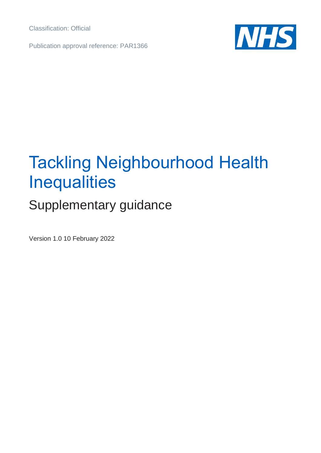Classification: Official

Publication approval reference: PAR1366



# Tackling Neighbourhood Health **Inequalities**

# Supplementary guidance

Version 1.0 10 February 2022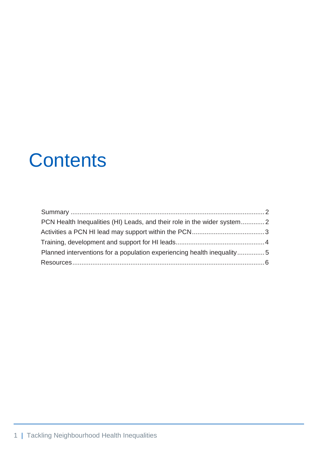# **Contents**

| Planned interventions for a population experiencing health inequality5 |  |  |
|------------------------------------------------------------------------|--|--|
|                                                                        |  |  |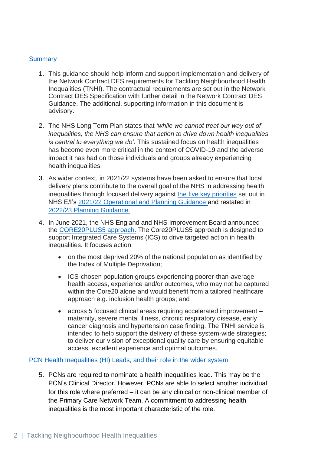#### <span id="page-2-0"></span>**Summary**

- 1. This guidance should help inform and support implementation and delivery of the Network Contract DES requirements for Tackling Neighbourhood Health Inequalities (TNHI). The contractual requirements are set out in the Network Contract DES Specification with further detail in the Network Contract DES Guidance. The additional, supporting information in this document is advisory.
- 2. The NHS Long Term Plan states that *'while we cannot treat our way out of inequalities, the NHS can ensure that action to drive down health inequalities is central to everything we do'.* This sustained focus on health inequalities has become even more critical in the context of COVID-19 and the adverse impact it has had on those individuals and groups already experiencing health inequalities.
- 3. As wider context, in 2021/22 systems have been asked to ensure that local delivery plans contribute to the overall goal of the NHS in addressing health inequalities through focused delivery against [the five key priorities](https://www.england.nhs.uk/publication/2021-22-priorities-and-operational-planning-guidance/) set out in NHS E/I's [2021/22 Operational and Planning Guidance](https://www.england.nhs.uk/wp-content/uploads/2021/03/B0468-implementation-guidance-21-22-priorities-and-operational-planning-guidance.pdf) and restated in [2022/23 Planning Guidance.](https://www.england.nhs.uk/publication/2022-23-priorities-and-operational-planning-guidance/)
- 4. In June 2021, the NHS England and NHS Improvement Board announced the [CORE20PLUS5 approach.](https://www.england.nhs.uk/wp-content/uploads/2021/06/240621-board-meeting-item-9-tackling-inequalities-in-nhs-care.pdf) The Core20PLUS5 approach is designed to support Integrated Care Systems (ICS) to drive targeted action in health inequalities. It focuses action
	- on the most deprived 20% of the national population as identified by the Index of Multiple Deprivation;
	- ICS-chosen population groups experiencing poorer-than-average health access, experience and/or outcomes, who may not be captured within the Core20 alone and would benefit from a tailored healthcare approach e.g. inclusion health groups; and
	- across 5 focused clinical areas requiring accelerated improvement maternity, severe mental illness, chronic respiratory disease, early cancer diagnosis and hypertension case finding. The TNHI service is intended to help support the delivery of these system-wide strategies: to deliver our vision of exceptional quality care by ensuring equitable access, excellent experience and optimal outcomes.

#### <span id="page-2-1"></span>PCN Health Inequalities (HI) Leads, and their role in the wider system

5. PCNs are required to nominate a health inequalities lead. This may be the PCN's Clinical Director. However, PCNs are able to select another individual for this role where preferred – it can be any clinical or non-clinical member of the Primary Care Network Team. A commitment to addressing health inequalities is the most important characteristic of the role.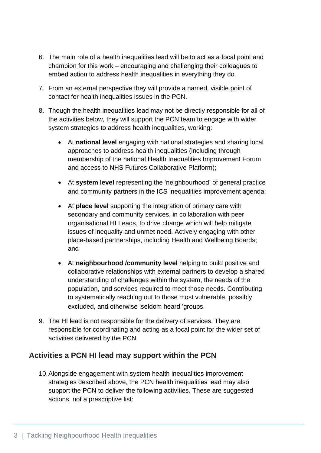- 6. The main role of a health inequalities lead will be to act as a focal point and champion for this work – encouraging and challenging their colleagues to embed action to address health inequalities in everything they do.
- 7. From an external perspective they will provide a named, visible point of contact for health inequalities issues in the PCN.
- 8. Though the health inequalities lead may not be directly responsible for all of the activities below, they will support the PCN team to engage with wider system strategies to address health inequalities, working:
	- At **national level** engaging with national strategies and sharing local approaches to address health inequalities (including through membership of the national Health Inequalities Improvement Forum and access to NHS Futures Collaborative Platform);
	- At **system level** representing the 'neighbourhood' of general practice and community partners in the ICS inequalities improvement agenda;
	- At **place level** supporting the integration of primary care with secondary and community services, in collaboration with peer organisational HI Leads, to drive change which will help mitigate issues of inequality and unmet need. Actively engaging with other place-based partnerships, including Health and Wellbeing Boards; and
	- At **neighbourhood /community level** helping to build positive and collaborative relationships with external partners to develop a shared understanding of challenges within the system, the needs of the population, and services required to meet those needs. Contributing to systematically reaching out to those most vulnerable, possibly excluded, and otherwise 'seldom heard 'groups.
- 9. The HI lead is not responsible for the delivery of services. They are responsible for coordinating and acting as a focal point for the wider set of activities delivered by the PCN.

## <span id="page-3-0"></span>**Activities a PCN HI lead may support within the PCN**

10.Alongside engagement with system health inequalities improvement strategies described above, the PCN health inequalities lead may also support the PCN to deliver the following activities. These are suggested actions, not a prescriptive list: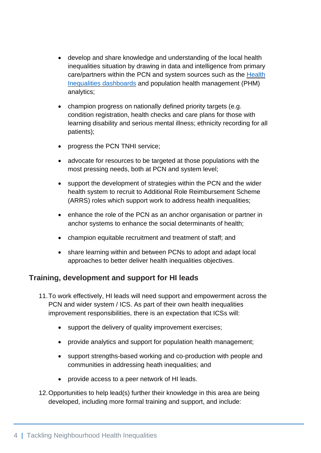- develop and share knowledge and understanding of the local health inequalities situation by drawing in data and intelligence from primary care/partners within the PCN and system sources such as the [Health](https://future.nhs.uk/EHIME/view?objectID=31141136) Inequalities [dashboards](https://future.nhs.uk/EHIME/view?objectID=31141136) and population health management (PHM) analytics;
- champion progress on nationally defined priority targets (e.g. condition registration, health checks and care plans for those with learning disability and serious mental illness; ethnicity recording for all patients);
- progress the PCN TNHI service;
- advocate for resources to be targeted at those populations with the most pressing needs, both at PCN and system level;
- support the development of strategies within the PCN and the wider health system to recruit to Additional Role Reimbursement Scheme (ARRS) roles which support work to address health inequalities;
- enhance the role of the PCN as an anchor organisation or partner in anchor systems to enhance the social determinants of health;
- champion equitable recruitment and treatment of staff; and
- share learning within and between PCNs to adopt and adapt local approaches to better deliver health inequalities objectives.

### <span id="page-4-0"></span>**Training, development and support for HI leads**

- 11.To work effectively, HI leads will need support and empowerment across the PCN and wider system / ICS. As part of their own health inequalities improvement responsibilities, there is an expectation that ICSs will:
	- support the delivery of quality improvement exercises;
	- provide analytics and support for population health management;
	- support strengths-based working and co-production with people and communities in addressing heath inequalities; and
	- provide access to a peer network of HI leads.
- 12.Opportunities to help lead(s) further their knowledge in this area are being developed, including more formal training and support, and include: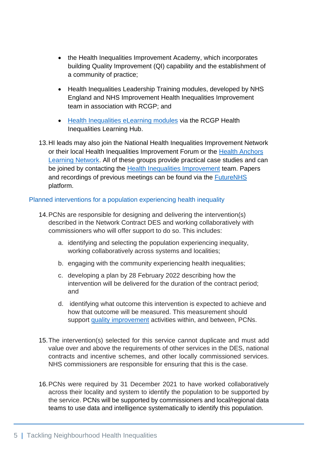- the Health Inequalities Improvement Academy, which incorporates building Quality Improvement (QI) capability and the establishment of a community of practice;
- Health Inequalities Leadership Training modules, developed by NHS England and NHS Improvement Health Inequalities Improvement team in association with RCGP; and
- Health [Inequalities](https://elearning.rcgp.org.uk/course/info.php?id=499) eLearning modules via the RCGP Health Inequalities Learning Hub.
- 13.HI leads may also join the National Health Inequalities Improvement Network or their local Health Inequalities Improvement Forum or the Health [Anchors](https://haln.org.uk/) [Learning](https://haln.org.uk/) Network. All of these groups provide practical case studies and can be joined by contacting the Health Inequalities [Improvement](mailto:england.healthinequalities@nhs.net) team. Papers and recordings of previous meetings can be found via the [FutureNHS](https://future.nhs.uk/EHIME/view?objectId=27747152) platform.

#### <span id="page-5-0"></span>Planned interventions for a population experiencing health inequality

- 14.PCNs are responsible for designing and delivering the intervention(s) described in the Network Contract DES and working collaboratively with commissioners who will offer support to do so. This includes:
	- a. identifying and selecting the population experiencing inequality, working collaboratively across systems and localities;
	- b. engaging with the community experiencing health inequalities;
	- c. developing a plan by 28 February 2022 describing how the intervention will be delivered for the duration of the contract period; and
	- d. identifying what outcome this intervention is expected to achieve and how that outcome will be measured. This measurement should support [quality improvement](https://www.england.nhs.uk/sustainableimprovement/improvement-fundamentals/improvement-fundamentals-201-qi-tools/) activities within, and between, PCNs.
- 15.The intervention(s) selected for this service cannot duplicate and must add value over and above the requirements of other services in the DES, national contracts and incentive schemes, and other locally commissioned services. NHS commissioners are responsible for ensuring that this is the case.
- 16.PCNs were required by 31 December 2021 to have worked collaboratively across their locality and system to identify the population to be supported by the service. PCNs will be supported by commissioners and local/regional data teams to use data and intelligence systematically to identify this population.